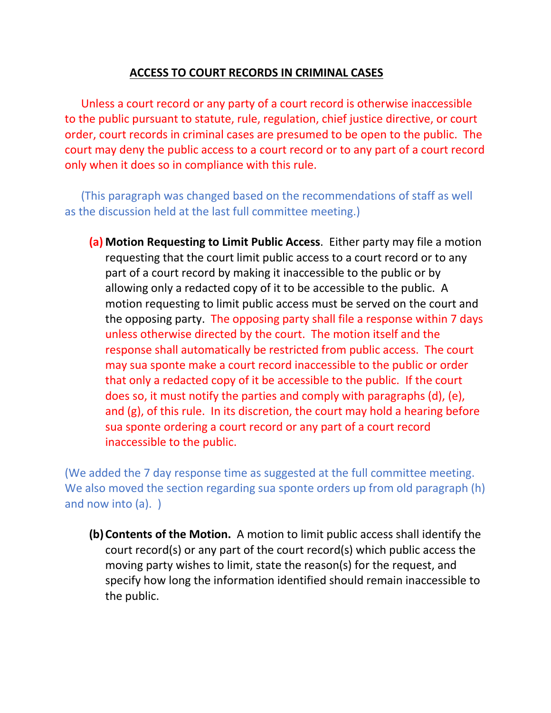## **ACCESS TO COURT RECORDS IN CRIMINAL CASES**

Unless a court record or any party of a court record is otherwise inaccessible to the public pursuant to statute, rule, regulation, chief justice directive, or court order, court records in criminal cases are presumed to be open to the public. The court may deny the public access to a court record or to any part of a court record only when it does so in compliance with this rule.

(This paragraph was changed based on the recommendations of staff as well as the discussion held at the last full committee meeting.)

**(a) Motion Requesting to Limit Public Access**. Either party may file a motion requesting that the court limit public access to a court record or to any part of a court record by making it inaccessible to the public or by allowing only a redacted copy of it to be accessible to the public. A motion requesting to limit public access must be served on the court and the opposing party. The opposing party shall file a response within 7 days unless otherwise directed by the court. The motion itself and the response shall automatically be restricted from public access. The court may sua sponte make a court record inaccessible to the public or order that only a redacted copy of it be accessible to the public. If the court does so, it must notify the parties and comply with paragraphs (d), (e), and (g), of this rule. In its discretion, the court may hold a hearing before sua sponte ordering a court record or any part of a court record inaccessible to the public.

(We added the 7 day response time as suggested at the full committee meeting. We also moved the section regarding sua sponte orders up from old paragraph (h) and now into (a). )

**(b) Contents of the Motion.** A motion to limit public access shall identify the court record(s) or any part of the court record(s) which public access the moving party wishes to limit, state the reason(s) for the request, and specify how long the information identified should remain inaccessible to the public.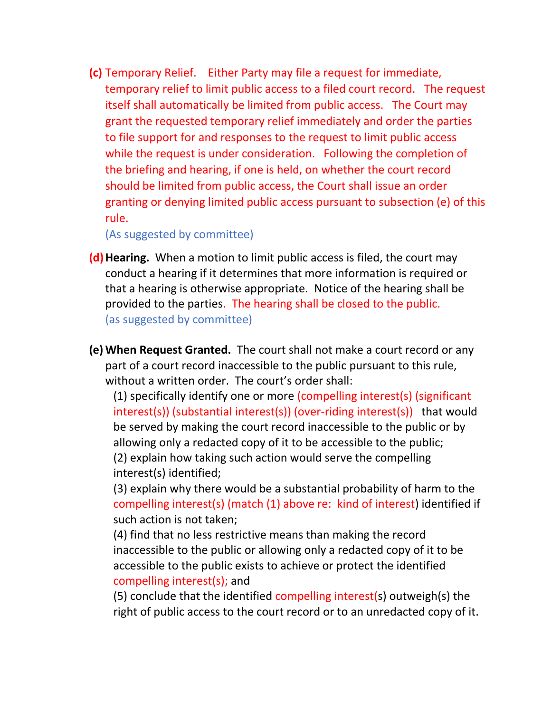**(c)** Temporary Relief. Either Party may file a request for immediate, temporary relief to limit public access to a filed court record. The request itself shall automatically be limited from public access. The Court may grant the requested temporary relief immediately and order the parties to file support for and responses to the request to limit public access while the request is under consideration. Following the completion of the briefing and hearing, if one is held, on whether the court record should be limited from public access, the Court shall issue an order granting or denying limited public access pursuant to subsection (e) of this rule.

(As suggested by committee)

- **(d)Hearing.** When a motion to limit public access is filed, the court may conduct a hearing if it determines that more information is required or that a hearing is otherwise appropriate. Notice of the hearing shall be provided to the parties. The hearing shall be closed to the public. (as suggested by committee)
- **(e) When Request Granted.** The court shall not make a court record or any part of a court record inaccessible to the public pursuant to this rule, without a written order. The court's order shall:

(1) specifically identify one or more (compelling interest(s) (significant interest(s)) (substantial interest(s)) (over-riding interest(s)) that would be served by making the court record inaccessible to the public or by allowing only a redacted copy of it to be accessible to the public; (2) explain how taking such action would serve the compelling interest(s) identified;

(3) explain why there would be a substantial probability of harm to the compelling interest(s) (match (1) above re: kind of interest) identified if such action is not taken;

(4) find that no less restrictive means than making the record inaccessible to the public or allowing only a redacted copy of it to be accessible to the public exists to achieve or protect the identified compelling interest(s); and

(5) conclude that the identified compelling interest(s) outweigh(s) the right of public access to the court record or to an unredacted copy of it.